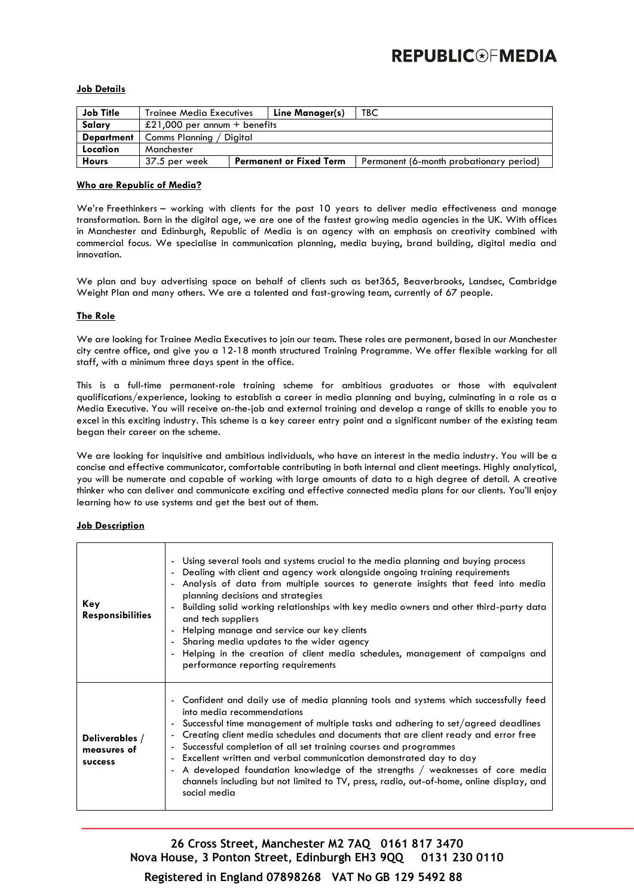# **REPUBLIC®FMEDIA**

#### **Job Details**

| <b>Job Title</b>  | <b>Trainee Media Executives</b> |  | Line Manager(s)                | TBC                                     |  |
|-------------------|---------------------------------|--|--------------------------------|-----------------------------------------|--|
| Salary            | £21,000 per annum + benefits    |  |                                |                                         |  |
| <b>Department</b> | Comms Planning / Digital        |  |                                |                                         |  |
| Location          | Manchester                      |  |                                |                                         |  |
| <b>Hours</b>      | 37.5 per week                   |  | <b>Permanent or Fixed Term</b> | Permanent (6-month probationary period) |  |

## **Who are Republic of Media?**

We're Freethinkers – working with clients for the past 10 years to deliver media effectiveness and manage transformation. Born in the digital age, we are one of the fastest growing media agencies in the UK. With offices in Manchester and Edinburgh, Republic of Media is an agency with an emphasis on creativity combined with commercial focus. We specialise in communication planning, media buying, brand building, digital media and innovation.

We plan and buy advertising space on behalf of clients such as bet365, Beaverbrooks, Landsec, Cambridge Weight Plan and many others. We are a talented and fast-growing team, currently of 67 people.

#### **The Role**

We are looking for Trainee Media Executives to join our team. These roles are permanent, based in our Manchester city centre office, and give you a 12-18 month structured Training Programme. We offer flexible working for all staff, with a minimum three days spent in the office.

This is a full-time permanent-role training scheme for ambitious graduates or those with equivalent qualifications/experience, looking to establish a career in media planning and buying, culminating in a role as a Media Executive. You will receive on-the-job and external training and develop a range of skills to enable you to excel in this exciting industry. This scheme is a key career entry point and a significant number of the existing team began their career on the scheme.

We are looking for inquisitive and ambitious individuals, who have an interest in the media industry. You will be a concise and effective communicator, comfortable contributing in both internal and client meetings. Highly analytical, you will be numerate and capable of working with large amounts of data to a high degree of detail. A creative thinker who can deliver and communicate exciting and effective connected media plans for our clients. You'll enjoy learning how to use systems and get the best out of them.

#### **Job Description**

| Key<br><b>Responsibilities</b>           | - Using several tools and systems crucial to the media planning and buying process<br>- Dealing with client and agency work alongside ongoing training requirements<br>- Analysis of data from multiple sources to generate insights that feed into media<br>planning decisions and strategies<br>Building solid working relationships with key media owners and other third-party data<br>and tech suppliers<br>Helping manage and service our key clients<br>- Sharing media updates to the wider agency<br>- Helping in the creation of client media schedules, management of campaigns and<br>performance reporting requirements           |
|------------------------------------------|------------------------------------------------------------------------------------------------------------------------------------------------------------------------------------------------------------------------------------------------------------------------------------------------------------------------------------------------------------------------------------------------------------------------------------------------------------------------------------------------------------------------------------------------------------------------------------------------------------------------------------------------|
| Deliverables /<br>measures of<br>success | - Confident and daily use of media planning tools and systems which successfully feed<br>into media recommendations<br>- Successful time management of multiple tasks and adhering to set/agreed deadlines<br>- Creating client media schedules and documents that are client ready and error free<br>- Successful completion of all set training courses and programmes<br>- Excellent written and verbal communication demonstrated day to day<br>- A developed foundation knowledge of the strengths / weaknesses of core media<br>channels including but not limited to TV, press, radio, out-of-home, online display, and<br>social media |

**26 Cross Street, Manchester M2 7AQ 0161 817 3470 Nova House, 3 Ponton Street, Edinburgh EH3 9QQ 0131 230 0110**

**Registered in England 07898268 VAT No GB 129 5492 88**